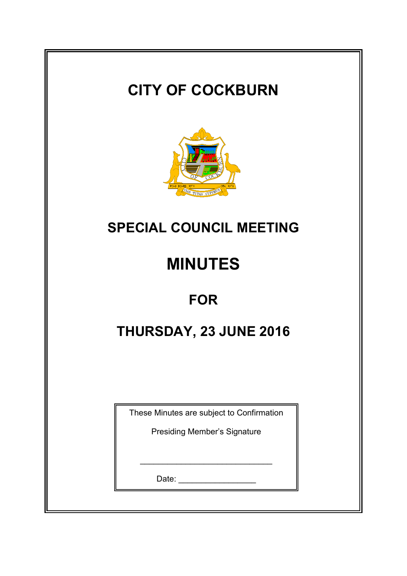# **CITY OF COCKBURN**



## **SPECIAL COUNCIL MEETING**

# **MINUTES**

### **FOR**

## **THURSDAY, 23 JUNE 2016**

These Minutes are subject to Confirmation

Presiding Member's Signature

\_\_\_\_\_\_\_\_\_\_\_\_\_\_\_\_\_\_\_\_\_\_\_\_\_\_\_\_\_

Date: \_\_\_\_\_\_\_\_\_\_\_\_\_\_\_\_\_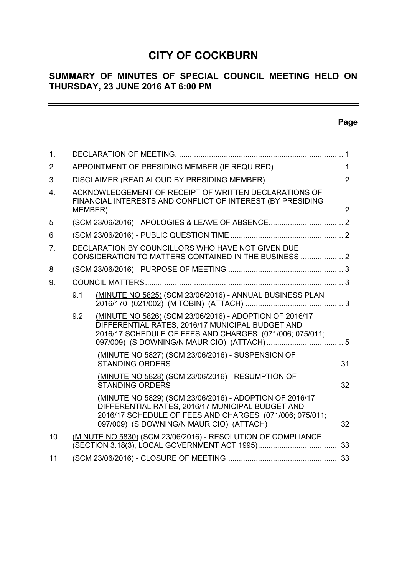### **CITY OF COCKBURN**

#### **SUMMARY OF MINUTES OF SPECIAL COUNCIL MEETING HELD ON THURSDAY, 23 JUNE 2016 AT 6:00 PM**

<u> Alexandria de la contextual de la contextual de la contextual de la contextual de la contextual de la contextua</u>

#### **Page**

 $\equiv$ 

| 1.             |                                                                                                                     |                                                                                                                                                                                                                    |    |  |
|----------------|---------------------------------------------------------------------------------------------------------------------|--------------------------------------------------------------------------------------------------------------------------------------------------------------------------------------------------------------------|----|--|
| 2.             | APPOINTMENT OF PRESIDING MEMBER (IF REQUIRED)  1                                                                    |                                                                                                                                                                                                                    |    |  |
| 3.             |                                                                                                                     |                                                                                                                                                                                                                    |    |  |
| 4 <sub>1</sub> | ACKNOWLEDGEMENT OF RECEIPT OF WRITTEN DECLARATIONS OF<br>FINANCIAL INTERESTS AND CONFLICT OF INTEREST (BY PRESIDING |                                                                                                                                                                                                                    |    |  |
| 5              |                                                                                                                     |                                                                                                                                                                                                                    |    |  |
| 6              |                                                                                                                     |                                                                                                                                                                                                                    |    |  |
| 7 <sub>1</sub> |                                                                                                                     | DECLARATION BY COUNCILLORS WHO HAVE NOT GIVEN DUE<br>CONSIDERATION TO MATTERS CONTAINED IN THE BUSINESS  2                                                                                                         |    |  |
| 8              |                                                                                                                     |                                                                                                                                                                                                                    |    |  |
| 9.             |                                                                                                                     |                                                                                                                                                                                                                    |    |  |
|                | 9.1                                                                                                                 | (MINUTE NO 5825) (SCM 23/06/2016) - ANNUAL BUSINESS PLAN                                                                                                                                                           |    |  |
|                | 9.2                                                                                                                 | (MINUTE NO 5826) (SCM 23/06/2016) - ADOPTION OF 2016/17<br>DIFFERENTIAL RATES, 2016/17 MUNICIPAL BUDGET AND<br>2016/17 SCHEDULE OF FEES AND CHARGES (071/006; 075/011;                                             |    |  |
|                |                                                                                                                     | (MINUTE NO 5827) (SCM 23/06/2016) - SUSPENSION OF<br><b>STANDING ORDERS</b>                                                                                                                                        | 31 |  |
|                |                                                                                                                     | (MINUTE NO 5828) (SCM 23/06/2016) - RESUMPTION OF<br><b>STANDING ORDERS</b>                                                                                                                                        | 32 |  |
|                |                                                                                                                     | (MINUTE NO 5829) (SCM 23/06/2016) - ADOPTION OF 2016/17<br>DIFFERENTIAL RATES, 2016/17 MUNICIPAL BUDGET AND<br>2016/17 SCHEDULE OF FEES AND CHARGES (071/006; 075/011;<br>097/009) (S DOWNING/N MAURICIO) (ATTACH) | 32 |  |
| 10.            |                                                                                                                     | (MINUTE NO 5830) (SCM 23/06/2016) - RESOLUTION OF COMPLIANCE                                                                                                                                                       |    |  |
| 11             |                                                                                                                     |                                                                                                                                                                                                                    |    |  |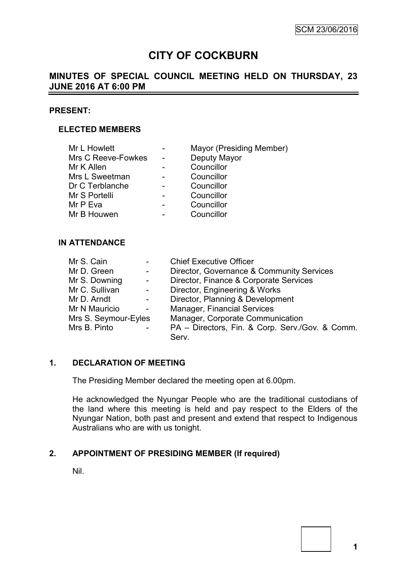### **CITY OF COCKBURN**

#### **MINUTES OF SPECIAL COUNCIL MEETING HELD ON THURSDAY, 23 JUNE 2016 AT 6:00 PM**

#### **PRESENT:**

#### **ELECTED MEMBERS**

| Mayor (Presiding Member) |
|--------------------------|
| Deputy Mayor             |
| Councillor               |
| Councillor               |
| Councillor               |
| Councillor               |
| Councillor               |
| Councillor               |
|                          |

#### **IN ATTENDANCE**

| Mr S. Cain           | $\overline{\phantom{a}}$ | <b>Chief Executive Officer</b>                  |
|----------------------|--------------------------|-------------------------------------------------|
| Mr D. Green          | $\sim$                   | Director, Governance & Community Services       |
| Mr S. Downing        | $\sim$                   | Director, Finance & Corporate Services          |
| Mr C. Sullivan       | $\sim$                   | Director, Engineering & Works                   |
| Mr D. Arndt          | $\overline{\phantom{a}}$ | Director, Planning & Development                |
| Mr N Mauricio        | $\blacksquare$           | <b>Manager, Financial Services</b>              |
| Mrs S. Seymour-Eyles |                          | Manager, Corporate Communication                |
| Mrs B. Pinto         | $\overline{\phantom{a}}$ | PA - Directors, Fin. & Corp. Serv./Gov. & Comm. |
|                      |                          | Serv.                                           |

#### **1. DECLARATION OF MEETING**

The Presiding Member declared the meeting open at 6.00pm.

He acknowledged the Nyungar People who are the traditional custodians of the land where this meeting is held and pay respect to the Elders of the Nyungar Nation, both past and present and extend that respect to Indigenous Australians who are with us tonight.

#### **2. APPOINTMENT OF PRESIDING MEMBER (If required)**

Nil.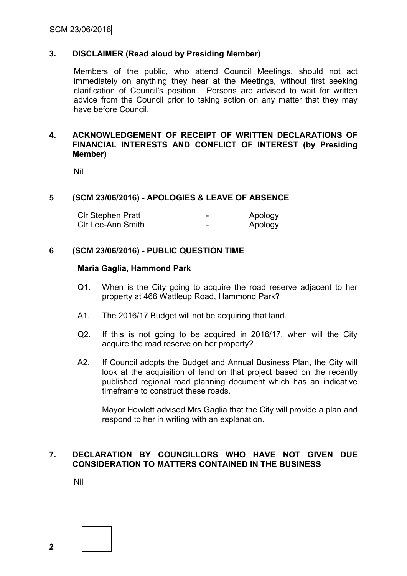#### **3. DISCLAIMER (Read aloud by Presiding Member)**

Members of the public, who attend Council Meetings, should not act immediately on anything they hear at the Meetings, without first seeking clarification of Council's position. Persons are advised to wait for written advice from the Council prior to taking action on any matter that they may have before Council.

#### **4. ACKNOWLEDGEMENT OF RECEIPT OF WRITTEN DECLARATIONS OF FINANCIAL INTERESTS AND CONFLICT OF INTEREST (by Presiding Member)**

Nil

#### **5 (SCM 23/06/2016) - APOLOGIES & LEAVE OF ABSENCE**

| CIr Stephen Pratt | - | Apology |
|-------------------|---|---------|
| Clr Lee-Ann Smith | - | Apology |

#### **6 (SCM 23/06/2016) - PUBLIC QUESTION TIME**

#### **Maria Gaglia, Hammond Park**

- Q1. When is the City going to acquire the road reserve adjacent to her property at 466 Wattleup Road, Hammond Park?
- A1. The 2016/17 Budget will not be acquiring that land.
- Q2. If this is not going to be acquired in 2016/17, when will the City acquire the road reserve on her property?
- A2. If Council adopts the Budget and Annual Business Plan, the City will look at the acquisition of land on that project based on the recently published regional road planning document which has an indicative timeframe to construct these roads.

Mayor Howlett advised Mrs Gaglia that the City will provide a plan and respond to her in writing with an explanation.

#### **7. DECLARATION BY COUNCILLORS WHO HAVE NOT GIVEN DUE CONSIDERATION TO MATTERS CONTAINED IN THE BUSINESS**

Nil

**2**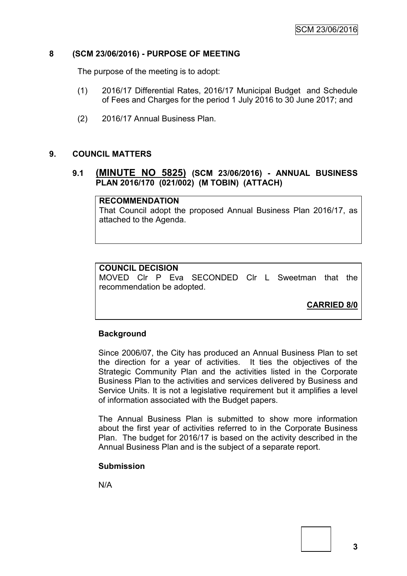#### **8 (SCM 23/06/2016) - PURPOSE OF MEETING**

The purpose of the meeting is to adopt:

- (1) 2016/17 Differential Rates, 2016/17 Municipal Budget and Schedule of Fees and Charges for the period 1 July 2016 to 30 June 2017; and
- (2) 2016/17 Annual Business Plan.

#### **9. COUNCIL MATTERS**

#### **9.1 (MINUTE NO 5825) (SCM 23/06/2016) - ANNUAL BUSINESS PLAN 2016/170 (021/002) (M TOBIN) (ATTACH)**

#### **RECOMMENDATION**

That Council adopt the proposed Annual Business Plan 2016/17, as attached to the Agenda.

#### **COUNCIL DECISION**

MOVED Clr P Eva SECONDED Clr L Sweetman that the recommendation be adopted.

**CARRIED 8/0**

#### **Background**

Since 2006/07, the City has produced an Annual Business Plan to set the direction for a year of activities. It ties the objectives of the Strategic Community Plan and the activities listed in the Corporate Business Plan to the activities and services delivered by Business and Service Units. It is not a legislative requirement but it amplifies a level of information associated with the Budget papers.

The Annual Business Plan is submitted to show more information about the first year of activities referred to in the Corporate Business Plan. The budget for 2016/17 is based on the activity described in the Annual Business Plan and is the subject of a separate report.

#### **Submission**

N/A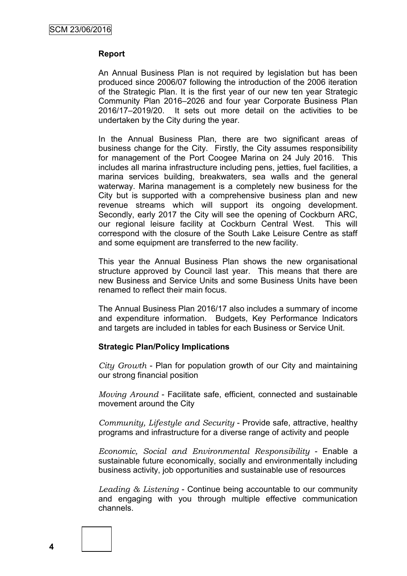#### **Report**

An Annual Business Plan is not required by legislation but has been produced since 2006/07 following the introduction of the 2006 iteration of the Strategic Plan. It is the first year of our new ten year Strategic Community Plan 2016–2026 and four year Corporate Business Plan 2016/17–2019/20. It sets out more detail on the activities to be undertaken by the City during the year.

In the Annual Business Plan, there are two significant areas of business change for the City. Firstly, the City assumes responsibility for management of the Port Coogee Marina on 24 July 2016. This includes all marina infrastructure including pens, jetties, fuel facilities, a marina services building, breakwaters, sea walls and the general waterway. Marina management is a completely new business for the City but is supported with a comprehensive business plan and new revenue streams which will support its ongoing development. Secondly, early 2017 the City will see the opening of Cockburn ARC, our regional leisure facility at Cockburn Central West. This will correspond with the closure of the South Lake Leisure Centre as staff and some equipment are transferred to the new facility.

This year the Annual Business Plan shows the new organisational structure approved by Council last year. This means that there are new Business and Service Units and some Business Units have been renamed to reflect their main focus.

The Annual Business Plan 2016/17 also includes a summary of income and expenditure information. Budgets, Key Performance Indicators and targets are included in tables for each Business or Service Unit.

#### **Strategic Plan/Policy Implications**

*City Growth* - Plan for population growth of our City and maintaining our strong financial position

*Moving Around* - Facilitate safe, efficient, connected and sustainable movement around the City

*Community, Lifestyle and Security* - Provide safe, attractive, healthy programs and infrastructure for a diverse range of activity and people

*Economic, Social and Environmental Responsibility* - Enable a sustainable future economically, socially and environmentally including business activity, job opportunities and sustainable use of resources

*Leading & Listening* - Continue being accountable to our community and engaging with you through multiple effective communication channels.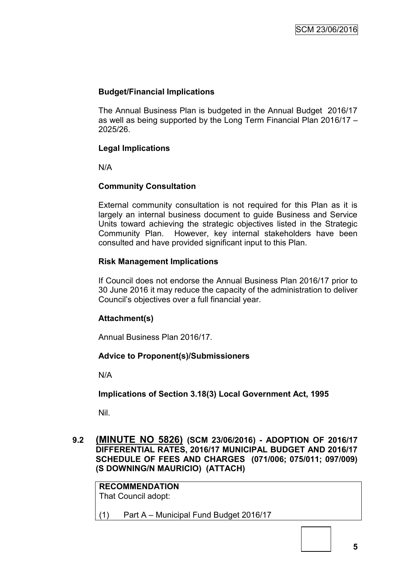#### **Budget/Financial Implications**

The Annual Business Plan is budgeted in the Annual Budget 2016/17 as well as being supported by the Long Term Financial Plan 2016/17 – 2025/26.

#### **Legal Implications**

N/A

#### **Community Consultation**

External community consultation is not required for this Plan as it is largely an internal business document to guide Business and Service Units toward achieving the strategic objectives listed in the Strategic Community Plan. However, key internal stakeholders have been consulted and have provided significant input to this Plan.

#### **Risk Management Implications**

If Council does not endorse the Annual Business Plan 2016/17 prior to 30 June 2016 it may reduce the capacity of the administration to deliver Council's objectives over a full financial year.

#### **Attachment(s)**

Annual Business Plan 2016/17.

#### **Advice to Proponent(s)/Submissioners**

N/A

**Implications of Section 3.18(3) Local Government Act, 1995**

Nil.

**9.2 (MINUTE NO 5826) (SCM 23/06/2016) - ADOPTION OF 2016/17 DIFFERENTIAL RATES, 2016/17 MUNICIPAL BUDGET AND 2016/17 SCHEDULE OF FEES AND CHARGES (071/006; 075/011; 097/009) (S DOWNING/N MAURICIO) (ATTACH)**

**RECOMMENDATION** That Council adopt: (1) Part A – Municipal Fund Budget 2016/17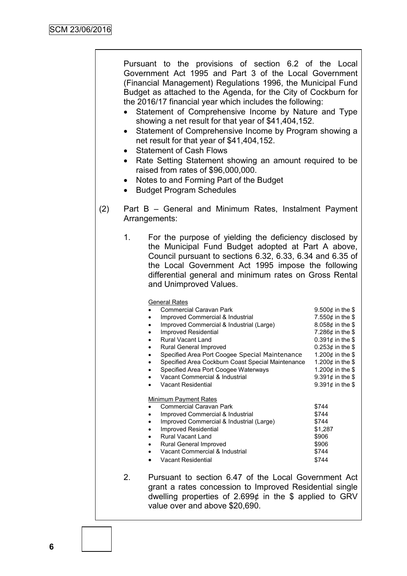Pursuant to the provisions of section 6.2 of the Local Government Act 1995 and Part 3 of the Local Government (Financial Management) Regulations 1996, the Municipal Fund Budget as attached to the Agenda, for the City of Cockburn for the 2016/17 financial year which includes the following:

- Statement of Comprehensive Income by Nature and Type showing a net result for that year of \$41,404,152.
- Statement of Comprehensive Income by Program showing a net result for that year of \$41,404,152.
- Statement of Cash Flows
- Rate Setting Statement showing an amount required to be raised from rates of \$96,000,000.
- Notes to and Forming Part of the Budget
- Budget Program Schedules
- (2) Part B General and Minimum Rates, Instalment Payment Arrangements:
	- 1. For the purpose of yielding the deficiency disclosed by the Municipal Fund Budget adopted at Part A above, Council pursuant to sections 6.32, 6.33, 6.34 and 6.35 of the Local Government Act 1995 impose the following differential general and minimum rates on Gross Rental and Unimproved Values.

| <b>General Rates</b>                              |                        |
|---------------------------------------------------|------------------------|
| <b>Commercial Caravan Park</b>                    | 9.500 $¢$ in the \$    |
| Improved Commercial & Industrial                  | 7.550 $\phi$ in the \$ |
| Improved Commercial & Industrial (Large)          | 8.058 $\phi$ in the \$ |
| Improved Residential                              | 7.286¢ in the \$       |
| Rural Vacant Land                                 | $0.391$ ¢ in the \$    |
| Rural General Improved                            | 0.253¢ in the \$       |
| Specified Area Port Coogee Special Maintenance    | 1.200 $¢$ in the \$    |
| Specified Area Cockburn Coast Special Maintenance | 1.200 $¢$ in the \$    |
| Specified Area Port Coogee Waterways              | 1.200 $¢$ in the \$    |
| Vacant Commercial & Industrial                    | 9.391¢ in the \$       |
| <b>Vacant Residential</b>                         | 9.391¢ in the \$       |
| Minimum Payment Rates                             |                        |
| Commercial Caravan Park                           | \$744                  |
| Improved Commercial & Industrial                  | \$744                  |
| Improved Commercial & Industrial (Large)          | \$744                  |
| Improved Residential                              | \$1,287                |
| Rural Vacant Land                                 | \$906                  |
| Rural General Improved                            | \$906                  |
| Vacant Commercial & Industrial                    | \$744                  |
| Vacant Residential                                | \$744                  |

2. Pursuant to section 6.47 of the Local Government Act grant a rates concession to Improved Residential single dwelling properties of 2.699¢ in the \$ applied to GRV value over and above \$20,690.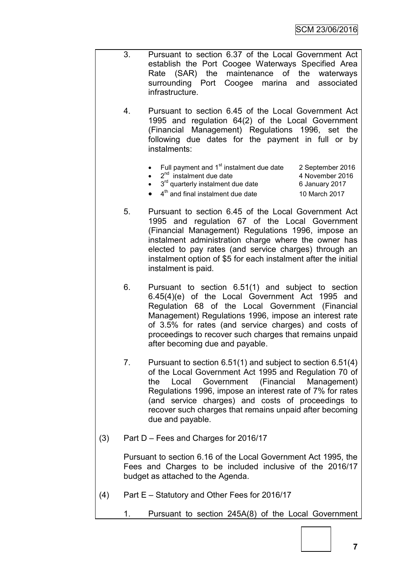- 3. Pursuant to section 6.37 of the Local Government Act establish the Port Coogee Waterways Specified Area Rate (SAR) the maintenance of the waterways surrounding Port Coogee marina and associated infrastructure.
	- 4. Pursuant to section 6.45 of the Local Government Act 1995 and regulation 64(2) of the Local Government (Financial Management) Regulations 1996, set the following due dates for the payment in full or by instalments:
		- Full payment and 1<sup>st</sup> instalment due date 2 September 2016
		- $\bullet$   $2^{nd}$  instalment due date  $4$  November 2016

 $\bullet$  3<sup>rd</sup> quarterly instalment due date 6 January 2017

- 4<sup>th</sup> and final instalment due date 10 March 2017
- 5. Pursuant to section 6.45 of the Local Government Act 1995 and regulation 67 of the Local Government (Financial Management) Regulations 1996, impose an instalment administration charge where the owner has elected to pay rates (and service charges) through an instalment option of \$5 for each instalment after the initial instalment is paid.
- 6. Pursuant to section 6.51(1) and subject to section 6.45(4)(e) of the Local Government Act 1995 and Regulation 68 of the Local Government (Financial Management) Regulations 1996, impose an interest rate of 3.5% for rates (and service charges) and costs of proceedings to recover such charges that remains unpaid after becoming due and payable.
- 7. Pursuant to section 6.51(1) and subject to section 6.51(4) of the Local Government Act 1995 and Regulation 70 of the Local Government (Financial Management) Regulations 1996, impose an interest rate of 7% for rates (and service charges) and costs of proceedings to recover such charges that remains unpaid after becoming due and payable.
- (3) Part D Fees and Charges for 2016/17

Pursuant to section 6.16 of the Local Government Act 1995, the Fees and Charges to be included inclusive of the 2016/17 budget as attached to the Agenda.

- (4) Part E Statutory and Other Fees for 2016/17
	- 1. Pursuant to section 245A(8) of the Local Government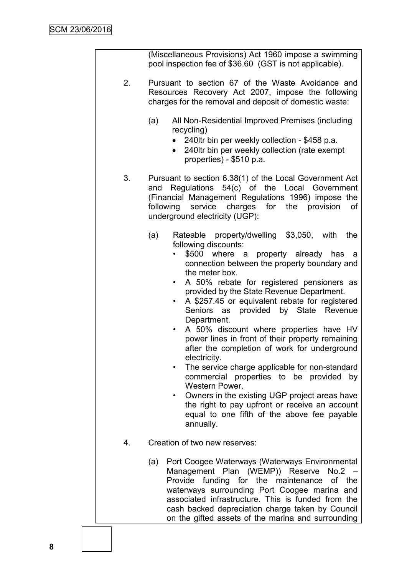|    | (Miscellaneous Provisions) Act 1960 impose a swimming<br>pool inspection fee of \$36.60 (GST is not applicable).                                                                                                                                                                                                                                                                                                                                                                                                                                                                                                                                                                                                                                                                                                                                                                                         |
|----|----------------------------------------------------------------------------------------------------------------------------------------------------------------------------------------------------------------------------------------------------------------------------------------------------------------------------------------------------------------------------------------------------------------------------------------------------------------------------------------------------------------------------------------------------------------------------------------------------------------------------------------------------------------------------------------------------------------------------------------------------------------------------------------------------------------------------------------------------------------------------------------------------------|
| 2. | Pursuant to section 67 of the Waste Avoidance and<br>Resources Recovery Act 2007, impose the following<br>charges for the removal and deposit of domestic waste:                                                                                                                                                                                                                                                                                                                                                                                                                                                                                                                                                                                                                                                                                                                                         |
|    | All Non-Residential Improved Premises (including<br>(a)<br>recycling)<br>240ltr bin per weekly collection - \$458 p.a.<br>$\bullet$<br>240ltr bin per weekly collection (rate exempt<br>$\bullet$<br>properties) - \$510 p.a.                                                                                                                                                                                                                                                                                                                                                                                                                                                                                                                                                                                                                                                                            |
| 3. | Pursuant to section 6.38(1) of the Local Government Act<br>Regulations 54(c) of the Local Government<br>and<br>(Financial Management Regulations 1996) impose the<br>service charges for the provision<br>following<br>οf<br>underground electricity (UGP):                                                                                                                                                                                                                                                                                                                                                                                                                                                                                                                                                                                                                                              |
|    | (a)<br>Rateable property/dwelling \$3,050, with<br>the<br>following discounts:<br>\$500<br>where<br>property already has<br>a<br>a<br>connection between the property boundary and<br>the meter box.<br>A 50% rebate for registered pensioners as<br>$\bullet$<br>provided by the State Revenue Department.<br>A \$257.45 or equivalent rebate for registered<br>$\bullet$<br>Seniors as provided by State Revenue<br>Department.<br>A 50% discount where properties have HV<br>$\bullet$<br>power lines in front of their property remaining<br>after the completion of work for underground<br>electricity.<br>The service charge applicable for non-standard<br>commercial properties to be provided by<br>Western Power.<br>Owners in the existing UGP project areas have<br>$\bullet$<br>the right to pay upfront or receive an account<br>equal to one fifth of the above fee payable<br>annually. |
| 4. | Creation of two new reserves:                                                                                                                                                                                                                                                                                                                                                                                                                                                                                                                                                                                                                                                                                                                                                                                                                                                                            |
|    | Port Coogee Waterways (Waterways Environmental<br>(a)<br>Management Plan (WEMP)) Reserve No.2 -<br>Provide<br>funding for the maintenance<br>of the<br>waterways surrounding Port Coogee marina and<br>associated infrastructure. This is funded from the<br>cash backed depreciation charge taken by Council<br>on the gifted assets of the marina and surrounding                                                                                                                                                                                                                                                                                                                                                                                                                                                                                                                                      |
|    |                                                                                                                                                                                                                                                                                                                                                                                                                                                                                                                                                                                                                                                                                                                                                                                                                                                                                                          |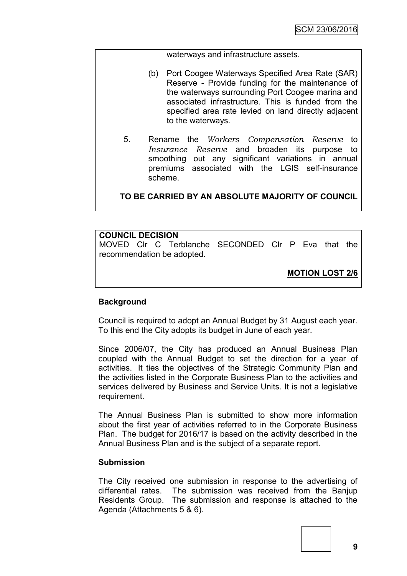waterways and infrastructure assets.

- (b) Port Coogee Waterways Specified Area Rate (SAR) Reserve - Provide funding for the maintenance of the waterways surrounding Port Coogee marina and associated infrastructure. This is funded from the specified area rate levied on land directly adjacent to the waterways.
- 5. Rename the *Workers Compensation Reserve* to *Insurance Reserve* and broaden its purpose to smoothing out any significant variations in annual premiums associated with the LGIS self-insurance scheme.

**TO BE CARRIED BY AN ABSOLUTE MAJORITY OF COUNCIL**

#### **COUNCIL DECISION**

MOVED Clr C Terblanche SECONDED Clr P Eva that the recommendation be adopted.

**MOTION LOST 2/6**

#### **Background**

Council is required to adopt an Annual Budget by 31 August each year. To this end the City adopts its budget in June of each year.

Since 2006/07, the City has produced an Annual Business Plan coupled with the Annual Budget to set the direction for a year of activities. It ties the objectives of the Strategic Community Plan and the activities listed in the Corporate Business Plan to the activities and services delivered by Business and Service Units. It is not a legislative requirement.

The Annual Business Plan is submitted to show more information about the first year of activities referred to in the Corporate Business Plan. The budget for 2016/17 is based on the activity described in the Annual Business Plan and is the subject of a separate report.

#### **Submission**

The City received one submission in response to the advertising of differential rates. The submission was received from the Banjup Residents Group. The submission and response is attached to the Agenda (Attachments 5 & 6).

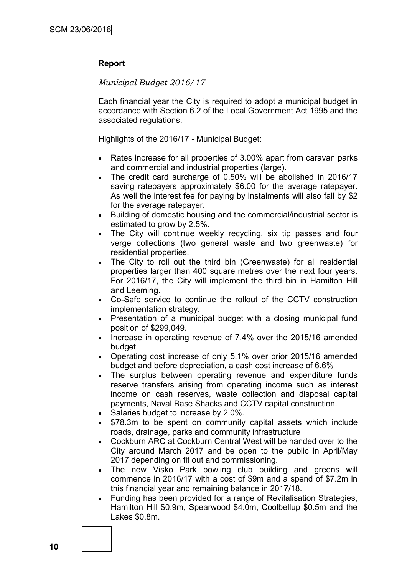#### **Report**

#### *Municipal Budget 2016/17*

Each financial year the City is required to adopt a municipal budget in accordance with Section 6.2 of the Local Government Act 1995 and the associated regulations.

Highlights of the 2016/17 - Municipal Budget:

- Rates increase for all properties of 3.00% apart from caravan parks and commercial and industrial properties (large).
- The credit card surcharge of 0.50% will be abolished in 2016/17 saving ratepayers approximately \$6.00 for the average ratepayer. As well the interest fee for paying by instalments will also fall by \$2 for the average ratepayer.
- Building of domestic housing and the commercial/industrial sector is estimated to grow by 2.5%.
- The City will continue weekly recycling, six tip passes and four verge collections (two general waste and two greenwaste) for residential properties.
- The City to roll out the third bin (Greenwaste) for all residential properties larger than 400 square metres over the next four years. For 2016/17, the City will implement the third bin in Hamilton Hill and Leeming.
- Co-Safe service to continue the rollout of the CCTV construction implementation strategy.
- Presentation of a municipal budget with a closing municipal fund position of \$299,049.
- Increase in operating revenue of 7.4% over the 2015/16 amended budget.
- Operating cost increase of only 5.1% over prior 2015/16 amended budget and before depreciation, a cash cost increase of 6.6%
- The surplus between operating revenue and expenditure funds reserve transfers arising from operating income such as interest income on cash reserves, waste collection and disposal capital payments, Naval Base Shacks and CCTV capital construction.
- Salaries budget to increase by 2.0%.
- \$78.3m to be spent on community capital assets which include roads, drainage, parks and community infrastructure
- Cockburn ARC at Cockburn Central West will be handed over to the City around March 2017 and be open to the public in April/May 2017 depending on fit out and commissioning.
- The new Visko Park bowling club building and greens will commence in 2016/17 with a cost of \$9m and a spend of \$7.2m in this financial year and remaining balance in 2017/18.
- Funding has been provided for a range of Revitalisation Strategies, Hamilton Hill \$0.9m, Spearwood \$4.0m, Coolbellup \$0.5m and the Lakes \$0.8m.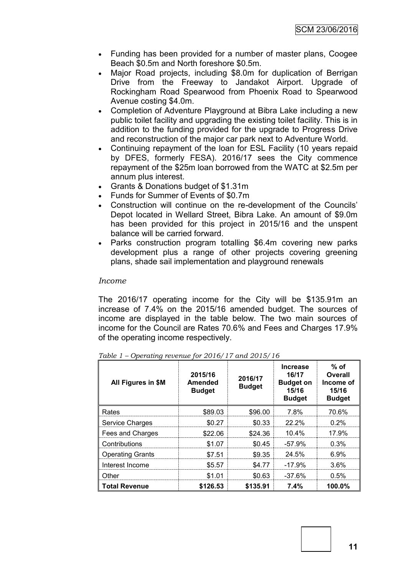- Funding has been provided for a number of master plans, Coogee Beach \$0.5m and North foreshore \$0.5m.
- Major Road projects, including \$8.0m for duplication of Berrigan Drive from the Freeway to Jandakot Airport. Upgrade of Rockingham Road Spearwood from Phoenix Road to Spearwood Avenue costing \$4.0m.
- Completion of Adventure Playground at Bibra Lake including a new public toilet facility and upgrading the existing toilet facility. This is in addition to the funding provided for the upgrade to Progress Drive and reconstruction of the major car park next to Adventure World.
- Continuing repayment of the loan for ESL Facility (10 years repaid by DFES, formerly FESA). 2016/17 sees the City commence repayment of the \$25m loan borrowed from the WATC at \$2.5m per annum plus interest.
- Grants & Donations budget of \$1.31m
- Funds for Summer of Events of \$0.7m
- Construction will continue on the re-development of the Councils' Depot located in Wellard Street, Bibra Lake. An amount of \$9.0m has been provided for this project in 2015/16 and the unspent balance will be carried forward.
- Parks construction program totalling \$6.4m covering new parks development plus a range of other projects covering greening plans, shade sail implementation and playground renewals

#### *Income*

The 2016/17 operating income for the City will be \$135.91m an increase of 7.4% on the 2015/16 amended budget. The sources of income are displayed in the table below. The two main sources of income for the Council are Rates 70.6% and Fees and Charges 17.9% of the operating income respectively.

| All Figures in \$M      | 2015/16<br>Amended<br><b>Budget</b> | 2016/17<br><b>Budget</b> | <b>Increase</b><br>16/17<br><b>Budget on</b><br>15/16<br><b>Budget</b> | $%$ of<br>Overall<br>Income of<br>15/16<br><b>Budget</b> |
|-------------------------|-------------------------------------|--------------------------|------------------------------------------------------------------------|----------------------------------------------------------|
| Rates                   | \$89.03                             | \$96.00                  | 7.8%                                                                   | 70.6%                                                    |
| Service Charges         | \$0.27                              | \$0.33                   | 22.2%                                                                  | 0.2%                                                     |
| Fees and Charges        | \$22.06                             | \$24.36                  | 10.4%                                                                  | 17.9%                                                    |
| Contributions           | \$1.07                              | \$0.45                   | $-57.9%$                                                               | 0.3%                                                     |
| <b>Operating Grants</b> | \$7.51                              | \$9.35                   | 24.5%                                                                  | 6.9%                                                     |
| Interest Income         | \$5.57                              | \$4.77                   | $-17.9%$                                                               | 3.6%                                                     |
| Other                   | \$1.01                              | \$0.63                   | $-37.6%$                                                               | 0.5%                                                     |
| <b>Total Revenue</b>    | \$126.53                            | \$135.91                 | 7.4%                                                                   | $100.0\%$                                                |

*Table 1 – Operating revenue for 2016/17 and 2015/16*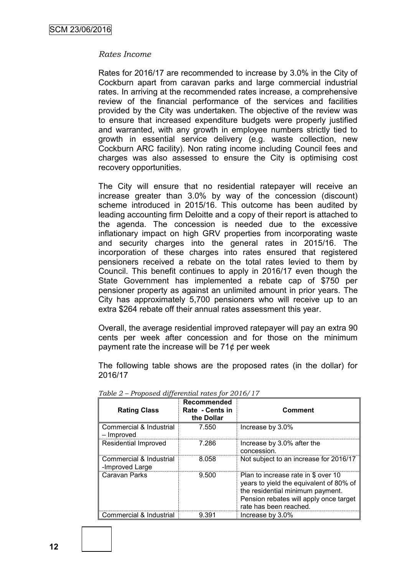#### *Rates Income*

Rates for 2016/17 are recommended to increase by 3.0% in the City of Cockburn apart from caravan parks and large commercial industrial rates. In arriving at the recommended rates increase, a comprehensive review of the financial performance of the services and facilities provided by the City was undertaken. The objective of the review was to ensure that increased expenditure budgets were properly justified and warranted, with any growth in employee numbers strictly tied to growth in essential service delivery (e.g. waste collection, new Cockburn ARC facility). Non rating income including Council fees and charges was also assessed to ensure the City is optimising cost recovery opportunities.

The City will ensure that no residential ratepayer will receive an increase greater than 3.0% by way of the concession (discount) scheme introduced in 2015/16. This outcome has been audited by leading accounting firm Deloitte and a copy of their report is attached to the agenda. The concession is needed due to the excessive inflationary impact on high GRV properties from incorporating waste and security charges into the general rates in 2015/16. The incorporation of these charges into rates ensured that registered pensioners received a rebate on the total rates levied to them by Council. This benefit continues to apply in 2016/17 even though the State Government has implemented a rebate cap of \$750 per pensioner property as against an unlimited amount in prior years. The City has approximately 5,700 pensioners who will receive up to an extra \$264 rebate off their annual rates assessment this year.

Overall, the average residential improved ratepayer will pay an extra 90 cents per week after concession and for those on the minimum payment rate the increase will be  $71¢$  per week

The following table shows are the proposed rates (in the dollar) for 2016/17

| <b>Rating Class</b>                        | Recommended<br>Rate - Cents in<br>the Dollar | <b>Comment</b>                                                                                                                                                                         |
|--------------------------------------------|----------------------------------------------|----------------------------------------------------------------------------------------------------------------------------------------------------------------------------------------|
| Commercial & Industrial<br>– Improved      | 7.550                                        | Increase by 3.0%                                                                                                                                                                       |
| Residential Improved                       | 7.286                                        | Increase by 3.0% after the<br>concession.                                                                                                                                              |
| Commercial & Industrial<br>-Improved Large | 8.058                                        | Not subject to an increase for 2016/17                                                                                                                                                 |
| Caravan Parks                              | 9.500                                        | Plan to increase rate in \$ over 10<br>years to yield the equivalent of 80% of<br>the residential minimum payment.<br>Pension rebates will apply once target<br>rate has been reached. |
| Commercial & Industrial                    | 9.391                                        | Increase by 3.0%                                                                                                                                                                       |

*Table 2 – Proposed differential rates for 2016/17*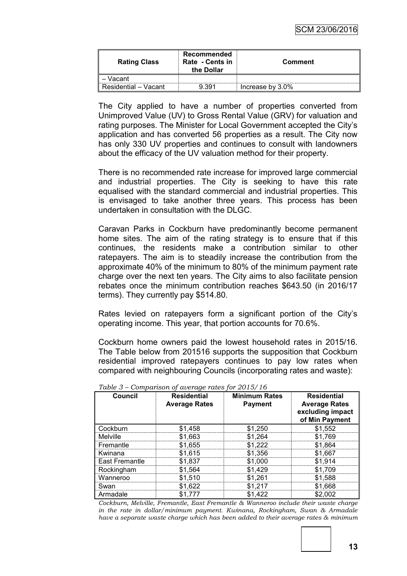| <b>Rating Class</b>  | Recommended<br>Rate - Cents in<br>the Dollar | Comment          |
|----------------------|----------------------------------------------|------------------|
| Vacant               |                                              |                  |
| Residential – Vacant | ว ววา                                        | Increase by 3.0% |

The City applied to have a number of properties converted from Unimproved Value (UV) to Gross Rental Value (GRV) for valuation and rating purposes. The Minister for Local Government accepted the City's application and has converted 56 properties as a result. The City now has only 330 UV properties and continues to consult with landowners about the efficacy of the UV valuation method for their property.

There is no recommended rate increase for improved large commercial and industrial properties. The City is seeking to have this rate equalised with the standard commercial and industrial properties. This is envisaged to take another three years. This process has been undertaken in consultation with the DLGC.

Caravan Parks in Cockburn have predominantly become permanent home sites. The aim of the rating strategy is to ensure that if this continues, the residents make a contribution similar to other ratepayers. The aim is to steadily increase the contribution from the approximate 40% of the minimum to 80% of the minimum payment rate charge over the next ten years. The City aims to also facilitate pension rebates once the minimum contribution reaches \$643.50 (in 2016/17 terms). They currently pay \$514.80.

Rates levied on ratepayers form a significant portion of the City's operating income. This year, that portion accounts for 70.6%.

Cockburn home owners paid the lowest household rates in 2015/16. The Table below from 201516 supports the supposition that Cockburn residential improved ratepayers continues to pay low rates when compared with neighbouring Councils (incorporating rates and waste):

| <b>Council</b> | <b>Residential</b><br><b>Average Rates</b> | <b>Minimum Rates</b><br><b>Payment</b> | <b>Residential</b><br><b>Average Rates</b><br>excluding impact<br>of Min Payment |
|----------------|--------------------------------------------|----------------------------------------|----------------------------------------------------------------------------------|
| Cockburn       | \$1,458                                    | \$1,250                                | \$1,552                                                                          |
| Melville       | \$1,663                                    | \$1,264                                | \$1,769                                                                          |
| Fremantle      | \$1,655                                    | \$1,222                                | \$1,864                                                                          |
| Kwinana        | \$1,615                                    | \$1,356                                | \$1,667                                                                          |
| East Fremantle | \$1,837                                    | \$1,000                                | \$1,914                                                                          |
| Rockingham     | \$1,564                                    | \$1,429                                | \$1,709                                                                          |
| Wanneroo       | \$1,510                                    | \$1,261                                | \$1,588                                                                          |
| Swan           | \$1,622                                    | \$1,217                                | \$1,668                                                                          |
| Armadale       | \$1.777                                    | \$1.422                                | \$2,002                                                                          |

*Table 3 – Comparison of average rates for 2015/16*

*Cockburn, Melville, Fremantle, East Fremantle & Wanneroo include their waste charge in the rate in dollar/minimum payment. Kwinana, Rockingham, Swan & Armadale have a separate waste charge which has been added to their average rates & minimum*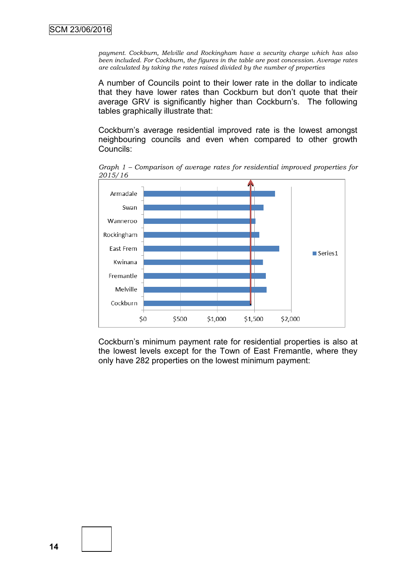*payment. Cockburn, Melville and Rockingham have a security charge which has also been included. For Cockburn, the figures in the table are post concession. Average rates are calculated by taking the rates raised divided by the number of properties*

A number of Councils point to their lower rate in the dollar to indicate that they have lower rates than Cockburn but don't quote that their average GRV is significantly higher than Cockburn's. The following tables graphically illustrate that:

Cockburn's average residential improved rate is the lowest amongst neighbouring councils and even when compared to other growth Councils:



*Graph 1 – Comparison of average rates for residential improved properties for 2015/16*

Cockburn's minimum payment rate for residential properties is also at the lowest levels except for the Town of East Fremantle, where they only have 282 properties on the lowest minimum payment: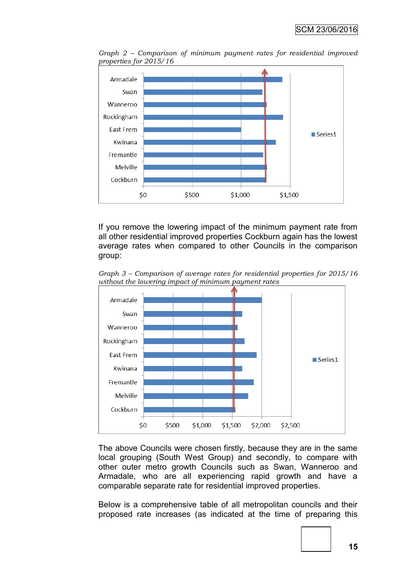

*Graph 2 – Comparison of minimum payment rates for residential improved properties for 2015/16*

If you remove the lowering impact of the minimum payment rate from all other residential improved properties Cockburn again has the lowest average rates when compared to other Councils in the comparison group:



*Graph 3 – Comparison of average rates for residential properties for 2015/16 without the lowering impact of minimum payment rates*

The above Councils were chosen firstly, because they are in the same local grouping (South West Group) and secondly, to compare with other outer metro growth Councils such as Swan, Wanneroo and Armadale, who are all experiencing rapid growth and have a comparable separate rate for residential improved properties.

Below is a comprehensive table of all metropolitan councils and their proposed rate increases (as indicated at the time of preparing this

**15**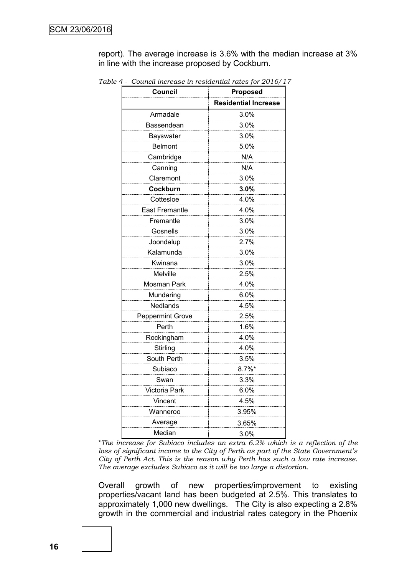report). The average increase is 3.6% with the median increase at 3% in line with the increase proposed by Cockburn.

| <b>Council</b>          | <b>Proposed</b>             |
|-------------------------|-----------------------------|
|                         | <b>Residential Increase</b> |
| Armadale                | 3.0%                        |
| Bassendean              | 3.0%                        |
| Bayswater               | 3.0%                        |
| <b>Belmont</b>          | 5.0%                        |
| Cambridge               | N/A                         |
| Canning                 | N/A                         |
| Claremont               | 3.0%                        |
| Cockburn                | 3.0%                        |
| Cottesloe               | 4.0%                        |
| <b>East Fremantle</b>   | 4.0%                        |
| Fremantle               | 3.0%                        |
| Gosnells                | 3.0%                        |
| Joondalup               | 2.7%                        |
| Kalamunda               | 3.0%                        |
| Kwinana                 | 3.0%                        |
| Melville                | 2.5%                        |
| Mosman Park             | 4.0%                        |
| Mundaring               | 6.0%                        |
| <b>Nedlands</b>         | 4.5%                        |
| <b>Peppermint Grove</b> | 2.5%                        |
| Perth                   | 1.6%                        |
| Rockingham              | 4.0%                        |
| Stirling                | 4.0%                        |
| South Perth             | 3.5%                        |
| Subiaco                 | $8.7\%$ *                   |
| Swan                    | 3.3%                        |
| Victoria Park           | 6.0%                        |
| Vincent                 | 4.5%                        |
| Wanneroo                | 3.95%                       |
| Average                 | 3.65%                       |
| Median                  | 3.0%                        |

*Table 4 - Council increase in residential rates for 2016/17*

\**The increase for Subiaco includes an extra 6.2% which is a reflection of the loss of significant income to the City of Perth as part of the State Government's City of Perth Act. This is the reason why Perth has such a low rate increase. The average excludes Subiaco as it will be too large a distortion.*

Overall growth of new properties/improvement to existing properties/vacant land has been budgeted at 2.5%. This translates to approximately 1,000 new dwellings. The City is also expecting a 2.8% growth in the commercial and industrial rates category in the Phoenix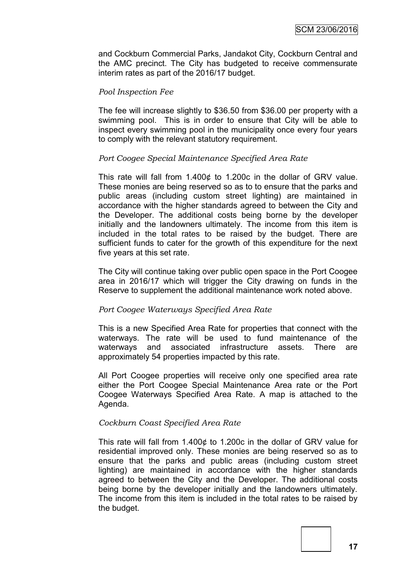and Cockburn Commercial Parks, Jandakot City, Cockburn Central and the AMC precinct. The City has budgeted to receive commensurate interim rates as part of the 2016/17 budget.

#### *Pool Inspection Fee*

The fee will increase slightly to \$36.50 from \$36.00 per property with a swimming pool. This is in order to ensure that City will be able to inspect every swimming pool in the municipality once every four years to comply with the relevant statutory requirement.

#### *Port Coogee Special Maintenance Specified Area Rate*

This rate will fall from 1.400¢ to 1.200c in the dollar of GRV value. These monies are being reserved so as to to ensure that the parks and public areas (including custom street lighting) are maintained in accordance with the higher standards agreed to between the City and the Developer. The additional costs being borne by the developer initially and the landowners ultimately. The income from this item is included in the total rates to be raised by the budget. There are sufficient funds to cater for the growth of this expenditure for the next five years at this set rate.

The City will continue taking over public open space in the Port Coogee area in 2016/17 which will trigger the City drawing on funds in the Reserve to supplement the additional maintenance work noted above.

#### *Port Coogee Waterways Specified Area Rate*

This is a new Specified Area Rate for properties that connect with the waterways. The rate will be used to fund maintenance of the waterways and associated infrastructure assets. There are approximately 54 properties impacted by this rate.

All Port Coogee properties will receive only one specified area rate either the Port Coogee Special Maintenance Area rate or the Port Coogee Waterways Specified Area Rate. A map is attached to the Agenda.

#### *Cockburn Coast Specified Area Rate*

This rate will fall from 1.400¢ to 1.200c in the dollar of GRV value for residential improved only. These monies are being reserved so as to ensure that the parks and public areas (including custom street lighting) are maintained in accordance with the higher standards agreed to between the City and the Developer. The additional costs being borne by the developer initially and the landowners ultimately. The income from this item is included in the total rates to be raised by the budget.

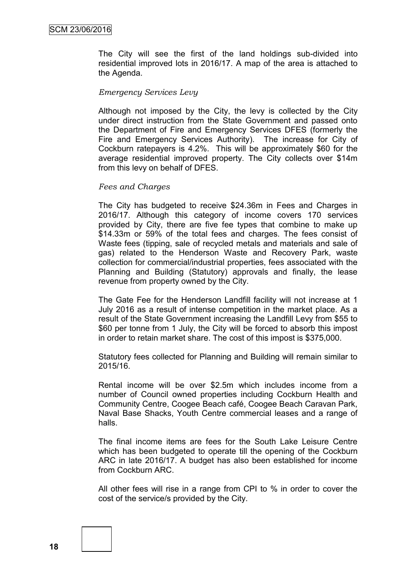The City will see the first of the land holdings sub-divided into residential improved lots in 2016/17. A map of the area is attached to the Agenda.

#### *Emergency Services Levy*

Although not imposed by the City, the levy is collected by the City under direct instruction from the State Government and passed onto the Department of Fire and Emergency Services DFES (formerly the Fire and Emergency Services Authority). The increase for City of Cockburn ratepayers is 4.2%. This will be approximately \$60 for the average residential improved property. The City collects over \$14m from this levy on behalf of DFES.

#### *Fees and Charges*

The City has budgeted to receive \$24.36m in Fees and Charges in 2016/17. Although this category of income covers 170 services provided by City, there are five fee types that combine to make up \$14.33m or 59% of the total fees and charges. The fees consist of Waste fees (tipping, sale of recycled metals and materials and sale of gas) related to the Henderson Waste and Recovery Park, waste collection for commercial/industrial properties, fees associated with the Planning and Building (Statutory) approvals and finally, the lease revenue from property owned by the City.

The Gate Fee for the Henderson Landfill facility will not increase at 1 July 2016 as a result of intense competition in the market place. As a result of the State Government increasing the Landfill Levy from \$55 to \$60 per tonne from 1 July, the City will be forced to absorb this impost in order to retain market share. The cost of this impost is \$375,000.

Statutory fees collected for Planning and Building will remain similar to 2015/16.

Rental income will be over \$2.5m which includes income from a number of Council owned properties including Cockburn Health and Community Centre, Coogee Beach café, Coogee Beach Caravan Park, Naval Base Shacks, Youth Centre commercial leases and a range of halls.

The final income items are fees for the South Lake Leisure Centre which has been budgeted to operate till the opening of the Cockburn ARC in late 2016/17. A budget has also been established for income from Cockburn ARC.

All other fees will rise in a range from CPI to % in order to cover the cost of the service/s provided by the City.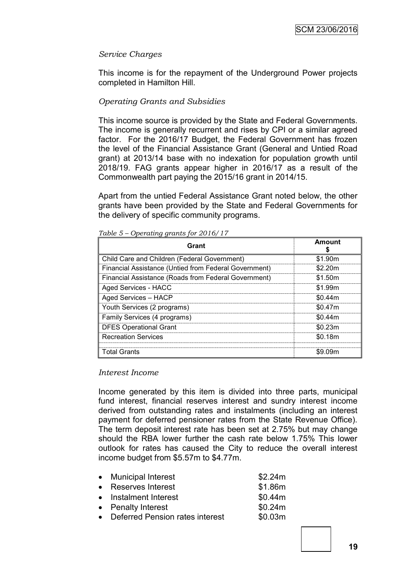#### *Service Charges*

This income is for the repayment of the Underground Power projects completed in Hamilton Hill.

#### *Operating Grants and Subsidies*

This income source is provided by the State and Federal Governments. The income is generally recurrent and rises by CPI or a similar agreed factor. For the 2016/17 Budget, the Federal Government has frozen the level of the Financial Assistance Grant (General and Untied Road grant) at 2013/14 base with no indexation for population growth until 2018/19. FAG grants appear higher in 2016/17 as a result of the Commonwealth part paying the 2015/16 grant in 2014/15.

Apart from the untied Federal Assistance Grant noted below, the other grants have been provided by the State and Federal Governments for the delivery of specific community programs.

| Grant                                                 | <b>Amount</b> |
|-------------------------------------------------------|---------------|
| Child Care and Children (Federal Government)          | \$1.90m       |
| Financial Assistance (Untied from Federal Government) | \$2.20m       |
| Financial Assistance (Roads from Federal Government)  | \$1.50m       |
| Aged Services - HACC                                  | \$1.99m       |
| Aged Services - HACP                                  | \$0.44m       |
| Youth Services (2 programs)                           | \$0.47m       |
| Family Services (4 programs)                          | \$0.44m       |
| <b>DFES Operational Grant</b>                         | \$0.23m       |
| <b>Recreation Services</b>                            | \$0.18m       |
| Total Grants                                          | \$9.09m       |

*Table 5 – Operating grants for 2016/17*

#### *Interest Income*

Income generated by this item is divided into three parts, municipal fund interest, financial reserves interest and sundry interest income derived from outstanding rates and instalments (including an interest payment for deferred pensioner rates from the State Revenue Office). The term deposit interest rate has been set at 2.75% but may change should the RBA lower further the cash rate below 1.75% This lower outlook for rates has caused the City to reduce the overall interest income budget from \$5.57m to \$4.77m.

| • Municipal Interest              | \$2.24m |
|-----------------------------------|---------|
| • Reserves Interest               | \$1.86m |
| • Instalment Interest             | \$0.44m |
| • Penalty Interest                | \$0.24m |
| • Deferred Pension rates interest | \$0.03m |
|                                   |         |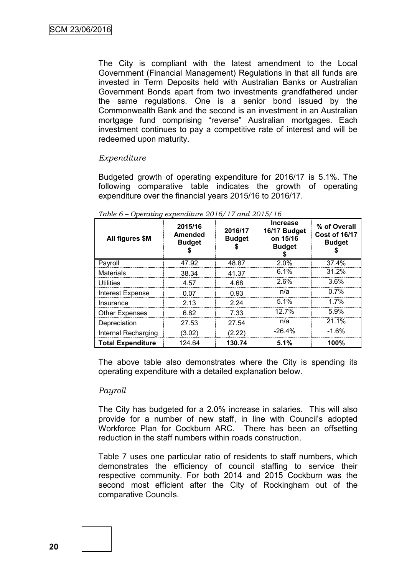The City is compliant with the latest amendment to the Local Government (Financial Management) Regulations in that all funds are invested in Term Deposits held with Australian Banks or Australian Government Bonds apart from two investments grandfathered under the same regulations. One is a senior bond issued by the Commonwealth Bank and the second is an investment in an Australian mortgage fund comprising "reverse" Australian mortgages. Each investment continues to pay a competitive rate of interest and will be redeemed upon maturity.

#### *Expenditure*

Budgeted growth of operating expenditure for 2016/17 is 5.1%. The following comparative table indicates the growth of operating expenditure over the financial years 2015/16 to 2016/17.

| All figures \$M          | 2015/16<br>Amended<br><b>Budget</b> | 2016/17<br><b>Budget</b> | <b>Increase</b><br>16/17 Budget<br>on 15/16<br><b>Budget</b> | % of Overall<br><b>Cost of 16/17</b><br><b>Budget</b> |
|--------------------------|-------------------------------------|--------------------------|--------------------------------------------------------------|-------------------------------------------------------|
| Payroll                  | 47.92                               | 48.87                    | 2.0%                                                         | 37.4%                                                 |
| <b>Materials</b>         | 38.34                               | 41.37                    | 6.1%                                                         | 31.2%                                                 |
| Utilities                | 4.57                                | 4.68                     | 2.6%                                                         | $3.6\%$                                               |
| Interest Expense         | 0.07                                | 0.93                     | n/a                                                          | 0.7%                                                  |
| Insurance                | 2.13                                | 2.24                     | 5.1%                                                         | 1.7%                                                  |
| <b>Other Expenses</b>    | 6.82                                | 7.33                     | $12.7\%$                                                     | 5.9%                                                  |
| Depreciation             | 27.53                               | 27.54                    | n/a                                                          | 21.1%                                                 |
| Internal Recharging      | (3.02)                              | (2.22)                   | $-26.4\%$                                                    | $-1.6\%$                                              |
| <b>Total Expenditure</b> | 124.64                              | 130.74                   | 5.1%                                                         | 100%                                                  |

*Table 6 – Operating expenditure 2016/17 and 2015/16*

The above table also demonstrates where the City is spending its operating expenditure with a detailed explanation below.

#### *Payroll*

The City has budgeted for a 2.0% increase in salaries. This will also provide for a number of new staff, in line with Council's adopted Workforce Plan for Cockburn ARC. There has been an offsetting reduction in the staff numbers within roads construction.

Table 7 uses one particular ratio of residents to staff numbers, which demonstrates the efficiency of council staffing to service their respective community. For both 2014 and 2015 Cockburn was the second most efficient after the City of Rockingham out of the comparative Councils.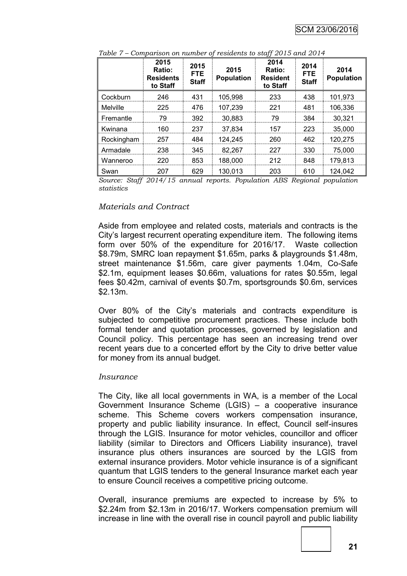|                 | 2015<br>Ratio:<br><b>Residents</b><br>to Staff | 2015<br><b>FTE</b><br><b>Staff</b> | 2015<br><b>Population</b> | 2014<br>Ratio:<br><b>Resident</b><br>to Staff | 2014<br><b>FTE</b><br><b>Staff</b> | 2014<br><b>Population</b> |
|-----------------|------------------------------------------------|------------------------------------|---------------------------|-----------------------------------------------|------------------------------------|---------------------------|
| Cockburn        | 246                                            | 431                                | 105.998                   | 233                                           | 438                                | 101,973                   |
| <b>Melville</b> | 225                                            | 476                                | 107,239                   | 221                                           | 481                                | 106,336                   |
| Fremantle       | 79                                             | 392                                | 30,883                    | 79                                            | 384                                | 30,321                    |
| Kwinana         | 160                                            | 237                                | 37.834                    | 157                                           | 223                                | 35,000                    |
| Rockingham      | 257                                            | 484                                | 124,245                   | 260                                           | 462                                | 120,275                   |
| Armadale        | 238                                            | 345                                | 82,267                    | 227                                           | 330                                | 75,000                    |
| Wanneroo        | 220                                            | 853                                | 188,000                   | 212                                           | 848                                | 179,813                   |
| Swan            | 207                                            | 629                                | 130,013                   | 203                                           | 610                                | 124,042                   |

*Table 7 – Comparison on number of residents to staff 2015 and 2014*

*Source: Staff 2014/15 annual reports. Population ABS Regional population statistics*

#### *Materials and Contract*

Aside from employee and related costs, materials and contracts is the City's largest recurrent operating expenditure item. The following items form over 50% of the expenditure for 2016/17. Waste collection \$8.79m, SMRC loan repayment \$1.65m, parks & playgrounds \$1.48m, street maintenance \$1.56m, care giver payments 1.04m, Co-Safe \$2.1m, equipment leases \$0.66m, valuations for rates \$0.55m, legal fees \$0.42m, carnival of events \$0.7m, sportsgrounds \$0.6m, services \$2.13m.

Over 80% of the City's materials and contracts expenditure is subjected to competitive procurement practices. These include both formal tender and quotation processes, governed by legislation and Council policy. This percentage has seen an increasing trend over recent years due to a concerted effort by the City to drive better value for money from its annual budget.

#### *Insurance*

The City, like all local governments in WA, is a member of the Local Government Insurance Scheme (LGIS) – a cooperative insurance scheme. This Scheme covers workers compensation insurance, property and public liability insurance. In effect, Council self-insures through the LGIS. Insurance for motor vehicles, councillor and officer liability (similar to Directors and Officers Liability insurance), travel insurance plus others insurances are sourced by the LGIS from external insurance providers. Motor vehicle insurance is of a significant quantum that LGIS tenders to the general Insurance market each year to ensure Council receives a competitive pricing outcome.

Overall, insurance premiums are expected to increase by 5% to \$2.24m from \$2.13m in 2016/17. Workers compensation premium will increase in line with the overall rise in council payroll and public liability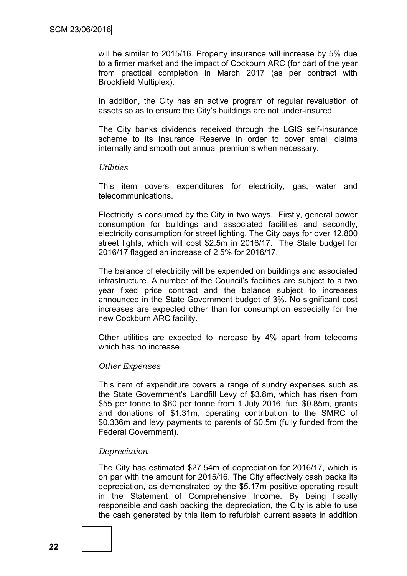will be similar to 2015/16. Property insurance will increase by 5% due to a firmer market and the impact of Cockburn ARC (for part of the year from practical completion in March 2017 (as per contract with Brookfield Multiplex).

In addition, the City has an active program of regular revaluation of assets so as to ensure the City's buildings are not under-insured.

The City banks dividends received through the LGIS self-insurance scheme to its Insurance Reserve in order to cover small claims internally and smooth out annual premiums when necessary.

#### *Utilities*

This item covers expenditures for electricity, gas, water and telecommunications.

Electricity is consumed by the City in two ways. Firstly, general power consumption for buildings and associated facilities and secondly, electricity consumption for street lighting. The City pays for over 12,800 street lights, which will cost \$2.5m in 2016/17. The State budget for 2016/17 flagged an increase of 2.5% for 2016/17.

The balance of electricity will be expended on buildings and associated infrastructure. A number of the Council's facilities are subject to a two year fixed price contract and the balance subject to increases announced in the State Government budget of 3%. No significant cost increases are expected other than for consumption especially for the new Cockburn ARC facility.

Other utilities are expected to increase by 4% apart from telecoms which has no increase.

#### *Other Expenses*

This item of expenditure covers a range of sundry expenses such as the State Government's Landfill Levy of \$3.8m, which has risen from \$55 per tonne to \$60 per tonne from 1 July 2016, fuel \$0.85m, grants and donations of \$1.31m, operating contribution to the SMRC of \$0.336m and levy payments to parents of \$0.5m (fully funded from the Federal Government).

#### *Depreciation*

The City has estimated \$27.54m of depreciation for 2016/17, which is on par with the amount for 2015/16. The City effectively cash backs its depreciation, as demonstrated by the \$5.17m positive operating result in the Statement of Comprehensive Income. By being fiscally responsible and cash backing the depreciation, the City is able to use the cash generated by this item to refurbish current assets in addition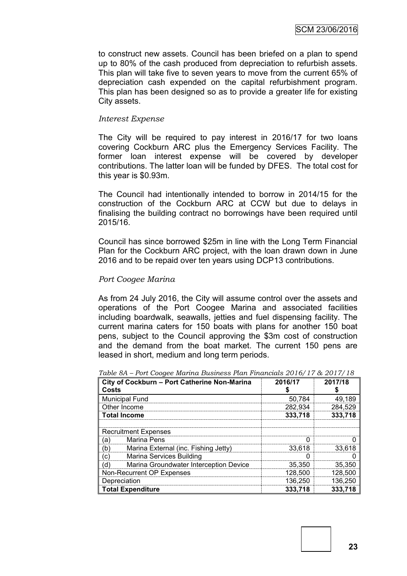to construct new assets. Council has been briefed on a plan to spend up to 80% of the cash produced from depreciation to refurbish assets. This plan will take five to seven years to move from the current 65% of depreciation cash expended on the capital refurbishment program. This plan has been designed so as to provide a greater life for existing City assets.

#### *Interest Expense*

The City will be required to pay interest in 2016/17 for two loans covering Cockburn ARC plus the Emergency Services Facility. The former loan interest expense will be covered by developer contributions. The latter loan will be funded by DFES. The total cost for this year is \$0.93m.

The Council had intentionally intended to borrow in 2014/15 for the construction of the Cockburn ARC at CCW but due to delays in finalising the building contract no borrowings have been required until 2015/16.

Council has since borrowed \$25m in line with the Long Term Financial Plan for the Cockburn ARC project, with the loan drawn down in June 2016 and to be repaid over ten years using DCP13 contributions.

#### *Port Coogee Marina*

As from 24 July 2016, the City will assume control over the assets and operations of the Port Coogee Marina and associated facilities including boardwalk, seawalls, jetties and fuel dispensing facility. The current marina caters for 150 boats with plans for another 150 boat pens, subject to the Council approving the \$3m cost of construction and the demand from the boat market. The current 150 pens are leased in short, medium and long term periods.

| City of Cockburn - Port Catherine Non-Marina<br>Costs | 2016/17 | 2017/18 |  |
|-------------------------------------------------------|---------|---------|--|
| <b>Municipal Fund</b>                                 | 50,784  | 49,189  |  |
| Other Income                                          | 282,934 | 284,529 |  |
| 333,718<br><b>Total Income</b>                        |         |         |  |
| <b>Recruitment Expenses</b>                           |         |         |  |
| <b>Marina Pens</b><br>(a)                             |         |         |  |
| (b)<br>Marina External (inc. Fishing Jetty)           | 33,618  | 33,618  |  |
| Marina Services Building<br>(c)                       |         |         |  |
| Marina Groundwater Interception Device<br>(d)         | 35,350  | 35,350  |  |
| Non-Recurrent OP Expenses                             | 128,500 | 128,500 |  |
| Depreciation                                          | 136,250 | 136,250 |  |
| <b>Total Expenditure</b>                              | 333,718 | 333,718 |  |

*Table 8A – Port Coogee Marina Business Plan Financials 2016/17 & 2017/18*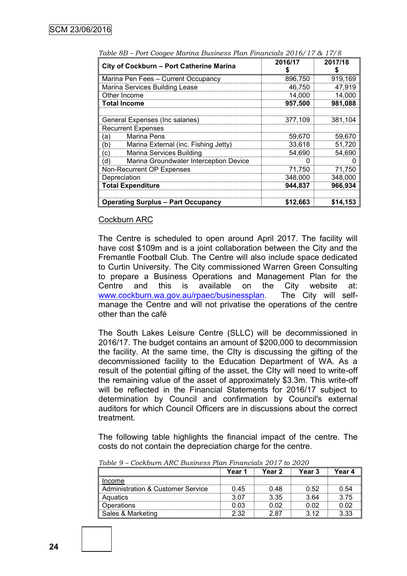| City of Cockburn - Port Catherine Marina      | 2016/17<br>S | 2017/18<br>S |
|-----------------------------------------------|--------------|--------------|
| Marina Pen Fees - Current Occupancy           | 896,750      | 919,169      |
| Marina Services Building Lease                | 46,750       | 47,919       |
| Other Income                                  | 14,000       | 14,000       |
| Total Income                                  | 957,500      | 981,088      |
|                                               |              |              |
| General Expenses (Inc salaries)               | 377,109      | 381,104      |
| <b>Recurrent Expenses</b>                     |              |              |
| Marina Pens<br>(a)                            | 59,670       | 59,670       |
| Marina External (inc. Fishing Jetty)<br>(b)   | 33,618       | 51,720       |
| Marina Services Building<br>(c)               | 54,690       | 54,690       |
| Marina Groundwater Interception Device<br>(d) | 0            | 0            |
| Non-Recurrent OP Expenses                     | 71,750       | 71,750       |
| Depreciation                                  | 348,000      | 348,000      |
| <b>Total Expenditure</b>                      | 944,837      | 966,934      |
| <b>Operating Surplus - Part Occupancy</b>     | \$12,663     | \$14,153     |

*Table 8B – Port Coogee Marina Business Plan Financials 2016/17 & 17/8*

#### Cockburn ARC

The Centre is scheduled to open around April 2017. The facility will have cost \$109m and is a joint collaboration between the City and the Fremantle Football Club. The Centre will also include space dedicated to Curtin University. The City commissioned Warren Green Consulting to prepare a Business Operations and Management Plan for the Centre and this is available on the City website at: [www.cockburn.wa.gov.au/rpaec/businessplan.](http://www.cockburn.wa.gov.au/rpaec/businessplan) The City will selfmanage the Centre and will not privatise the operations of the centre other than the café

The South Lakes Leisure Centre (SLLC) will be decommissioned in 2016/17. The budget contains an amount of \$200,000 to decommission the facility. At the same time, the CIty is discussing the gifting of the decommissioned facility to the Education Department of WA. As a result of the potential gifting of the asset, the CIty will need to write-off the remaining value of the asset of approximately \$3.3m. This write-off will be reflected in the Financial Statements for 2016/17 subject to determination by Council and confirmation by Council's external auditors for which Council Officers are in discussions about the correct treatment.

The following table highlights the financial impact of the centre. The costs do not contain the depreciation charge for the centre.

|                                              | Year 1 | Year 2 | Year 3 | Year 4 |
|----------------------------------------------|--------|--------|--------|--------|
| Income                                       |        |        |        |        |
| <b>Administration &amp; Customer Service</b> | 0.45   | 0.48   | 0.52   | 0.54   |
| Aquatics                                     | 3.07   | 3.35   | 3.64   | 3.75   |
| Operations                                   | 0.03   | 0 02   | 0 02   | 0.02   |
| Sales & Marketing                            | 2.32   | 2.87   | 3.12   | 3.33   |

*Table 9 – Cockburn ARC Business Plan Financials 2017 to 2020*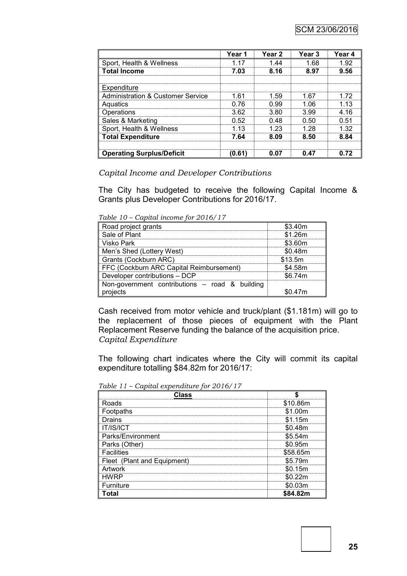|                                              | Year 1 | Year 2 | Year <sub>3</sub> | Year 4 |
|----------------------------------------------|--------|--------|-------------------|--------|
| Sport, Health & Wellness                     | 117    | 144    | 1 68              | 1.92   |
| <b>Total Income</b>                          | 7.03   | 8.16   | 8.97              | 9.56   |
|                                              |        |        |                   |        |
| Expenditure                                  |        |        |                   |        |
| <b>Administration &amp; Customer Service</b> | 1 61   | 1.59   | 1.67              |        |
| Aquatics                                     | በ 76   | 0.99   | 1 በ6              | 1 13   |
| Operations                                   | 3.62   | 3.80   | 3.99              | 4 1 6  |
| Sales & Marketing                            | 0.52   | በ 48   | N 50              | በ 51   |
| Sport, Health & Wellness                     | 1 13   | 1 23   | 1 28              | 1 32   |
| <b>Total Expenditure</b>                     | 7.64   | 8.09   | 8.50              | 8.84   |
|                                              |        |        |                   |        |
| <b>Operating Surplus/Deficit</b>             | 0.61   | N N7   | 0.47              |        |

*Capital Income and Developer Contributions*

The City has budgeted to receive the following Capital Income & Grants plus Developer Contributions for 2016/17.

*Table 10 – Capital income for 2016/17*

| Road project grants                              | \$3.40m |
|--------------------------------------------------|---------|
| Sale of Plant                                    | \$1.26m |
| Visko Park                                       | \$3.60m |
| Men's Shed (Lottery West)                        | \$0.48m |
| Grants (Cockburn ARC)                            | \$13.5m |
| FFC (Cockburn ARC Capital Reimbursement)         | \$4.58m |
| Developer contributions - DCP                    | \$6.74m |
| Non-government contributions $-$ road & building |         |
| <b>vroiects</b>                                  | 0.47m   |

Cash received from motor vehicle and truck/plant (\$1.181m) will go to the replacement of those pieces of equipment with the Plant Replacement Reserve funding the balance of the acquisition price. *Capital Expenditure*

The following chart indicates where the City will commit its capital expenditure totalling \$84.82m for 2016/17:

*Table 11 – Capital expenditure for 2016/17*

| Class                         |             |
|-------------------------------|-------------|
| Roads                         | \$10.86m    |
| <b>Footpaths</b>              | 1.00m       |
| Drains                        | 1.15m       |
| <b>IT/IS/ICT</b>              | \$0.48m     |
| Parks/Environment             | \$5.54m<br> |
| Parks (Other)                 | \$0.95m     |
| <b>Facilities</b>             | \$58.65m    |
| (Plant and Equipment)<br>leet | :5 79m      |
| Artwork                       | \$0.15m     |
| HWRP                          | ነ0.22m      |
| Furniture                     | 0.03m       |
| Total                         | \$84.82m    |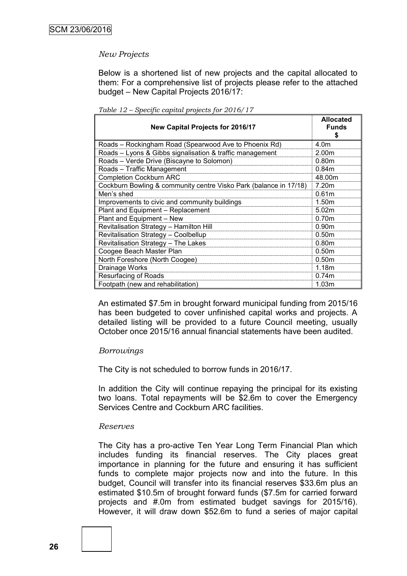#### *New Projects*

Below is a shortened list of new projects and the capital allocated to them: For a comprehensive list of projects please refer to the attached budget – New Capital Projects 2016/17:

| <b>New Capital Projects for 2016/17</b>                           | <b>Allocated</b><br><b>Funds</b><br>S |
|-------------------------------------------------------------------|---------------------------------------|
| Roads – Rockingham Road (Spearwood Ave to Phoenix Rd)             | 4.0m                                  |
| Roads - Lyons & Gibbs signalisation & traffic management          | 2.00m                                 |
| Roads - Verde Drive (Biscayne to Solomon)                         | 0.80 <sub>m</sub>                     |
| Roads - Traffic Management                                        | 0.84m                                 |
| <b>Completion Cockburn ARC</b>                                    | 48.00m                                |
| Cockburn Bowling & community centre Visko Park (balance in 17/18) | 7.20m                                 |
| Men's shed                                                        | 0.61 <sub>m</sub>                     |
| Improvements to civic and community buildings                     | 1.50m                                 |
| Plant and Equipment - Replacement                                 | 5.02m                                 |
| Plant and Equipment - New                                         | 0.70 <sub>m</sub>                     |
| Revitalisation Strategy - Hamilton Hill                           | 0.90 <sub>m</sub>                     |
| Revitalisation Strategy - Coolbellup                              | 0.50 <sub>m</sub>                     |
| Revitalisation Strategy - The Lakes                               | 0.80 <sub>m</sub>                     |
| Coogee Beach Master Plan                                          | 0.50 <sub>m</sub>                     |
| North Foreshore (North Coogee)                                    | 0.50 <sub>m</sub>                     |
| Drainage Works                                                    | 1.18m                                 |
| <b>Resurfacing of Roads</b>                                       | 0.74 <sub>m</sub>                     |
| Footpath (new and rehabilitation)                                 | 1.03m                                 |

*Table 12 – Specific capital projects for 2016/17*

An estimated \$7.5m in brought forward municipal funding from 2015/16 has been budgeted to cover unfinished capital works and projects. A detailed listing will be provided to a future Council meeting, usually October once 2015/16 annual financial statements have been audited.

#### *Borrowings*

The City is not scheduled to borrow funds in 2016/17.

In addition the City will continue repaying the principal for its existing two loans. Total repayments will be \$2.6m to cover the Emergency Services Centre and Cockburn ARC facilities.

#### *Reserves*

The City has a pro-active Ten Year Long Term Financial Plan which includes funding its financial reserves. The City places great importance in planning for the future and ensuring it has sufficient funds to complete major projects now and into the future. In this budget, Council will transfer into its financial reserves \$33.6m plus an estimated \$10.5m of brought forward funds (\$7.5m for carried forward projects and #.0m from estimated budget savings for 2015/16). However, it will draw down \$52.6m to fund a series of major capital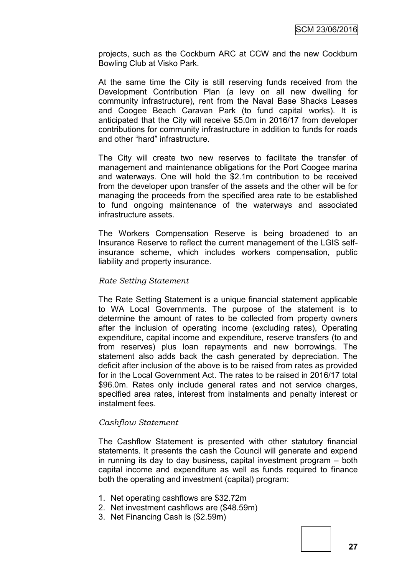projects, such as the Cockburn ARC at CCW and the new Cockburn Bowling Club at Visko Park.

At the same time the City is still reserving funds received from the Development Contribution Plan (a levy on all new dwelling for community infrastructure), rent from the Naval Base Shacks Leases and Coogee Beach Caravan Park (to fund capital works). It is anticipated that the City will receive \$5.0m in 2016/17 from developer contributions for community infrastructure in addition to funds for roads and other "hard" infrastructure.

The City will create two new reserves to facilitate the transfer of management and maintenance obligations for the Port Coogee marina and waterways. One will hold the \$2.1m contribution to be received from the developer upon transfer of the assets and the other will be for managing the proceeds from the specified area rate to be established to fund ongoing maintenance of the waterways and associated infrastructure assets.

The Workers Compensation Reserve is being broadened to an Insurance Reserve to reflect the current management of the LGIS selfinsurance scheme, which includes workers compensation, public liability and property insurance.

#### *Rate Setting Statement*

The Rate Setting Statement is a unique financial statement applicable to WA Local Governments. The purpose of the statement is to determine the amount of rates to be collected from property owners after the inclusion of operating income (excluding rates), Operating expenditure, capital income and expenditure, reserve transfers (to and from reserves) plus loan repayments and new borrowings. The statement also adds back the cash generated by depreciation. The deficit after inclusion of the above is to be raised from rates as provided for in the Local Government Act. The rates to be raised in 2016/17 total \$96.0m. Rates only include general rates and not service charges, specified area rates, interest from instalments and penalty interest or instalment fees.

#### *Cashflow Statement*

The Cashflow Statement is presented with other statutory financial statements. It presents the cash the Council will generate and expend in running its day to day business, capital investment program – both capital income and expenditure as well as funds required to finance both the operating and investment (capital) program:

- 1. Net operating cashflows are \$32.72m
- 2. Net investment cashflows are (\$48.59m)
- 3. Net Financing Cash is (\$2.59m)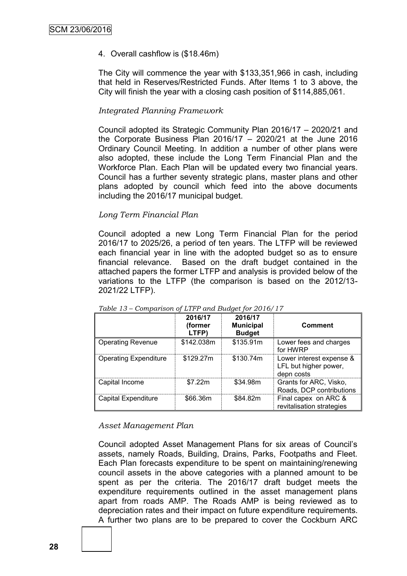#### 4. Overall cashflow is (\$18.46m)

The City will commence the year with \$133,351,966 in cash, including that held in Reserves/Restricted Funds. After Items 1 to 3 above, the City will finish the year with a closing cash position of \$114,885,061.

#### *Integrated Planning Framework*

Council adopted its Strategic Community Plan 2016/17 – 2020/21 and the Corporate Business Plan 2016/17 – 2020/21 at the June 2016 Ordinary Council Meeting. In addition a number of other plans were also adopted, these include the Long Term Financial Plan and the Workforce Plan. Each Plan will be updated every two financial years. Council has a further seventy strategic plans, master plans and other plans adopted by council which feed into the above documents including the 2016/17 municipal budget.

#### *Long Term Financial Plan*

Council adopted a new Long Term Financial Plan for the period 2016/17 to 2025/26, a period of ten years. The LTFP will be reviewed each financial year in line with the adopted budget so as to ensure financial relevance. Based on the draft budget contained in the attached papers the former LTFP and analysis is provided below of the variations to the LTFP (the comparison is based on the 2012/13- 2021/22 LTFP).

|                              | 2016/17<br>(former<br>LTFP) | 2016/17<br><b>Municipal</b><br><b>Budget</b> | <b>Comment</b>                                                  |
|------------------------------|-----------------------------|----------------------------------------------|-----------------------------------------------------------------|
| <b>Operating Revenue</b>     | \$142.038m                  | \$135.91m                                    | Lower fees and charges<br>for HWRP                              |
| <b>Operating Expenditure</b> | \$129.27m                   | \$130.74m                                    | Lower interest expense &<br>LFL but higher power,<br>depn costs |
| Capital Income               | \$7.22m                     | \$34.98m                                     | Grants for ARC, Visko,<br>Roads, DCP contributions              |
| Capital Expenditure          | \$66.36m                    | \$84.82m                                     | Final capex on ARC &<br>revitalisation strategies               |

*Table 13 – Comparison of LTFP and Budget for 2016/17*

#### *Asset Management Plan*

Council adopted Asset Management Plans for six areas of Council's assets, namely Roads, Building, Drains, Parks, Footpaths and Fleet. Each Plan forecasts expenditure to be spent on maintaining/renewing council assets in the above categories with a planned amount to be spent as per the criteria. The 2016/17 draft budget meets the expenditure requirements outlined in the asset management plans apart from roads AMP. The Roads AMP is being reviewed as to depreciation rates and their impact on future expenditure requirements. A further two plans are to be prepared to cover the Cockburn ARC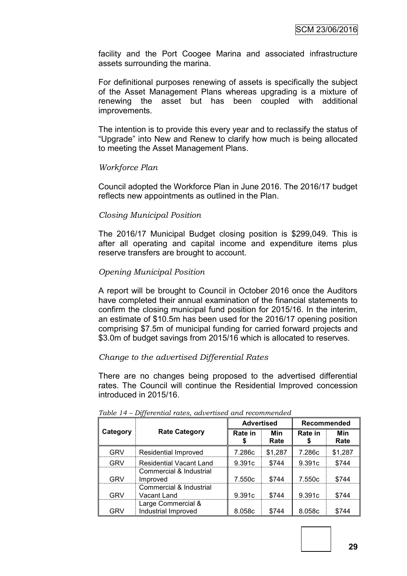facility and the Port Coogee Marina and associated infrastructure assets surrounding the marina.

For definitional purposes renewing of assets is specifically the subject of the Asset Management Plans whereas upgrading is a mixture of renewing the asset but has been coupled with additional improvements.

The intention is to provide this every year and to reclassify the status of "Upgrade" into New and Renew to clarify how much is being allocated to meeting the Asset Management Plans.

#### *Workforce Plan*

Council adopted the Workforce Plan in June 2016. The 2016/17 budget reflects new appointments as outlined in the Plan.

#### *Closing Municipal Position*

The 2016/17 Municipal Budget closing position is \$299,049. This is after all operating and capital income and expenditure items plus reserve transfers are brought to account.

#### *Opening Municipal Position*

A report will be brought to Council in October 2016 once the Auditors have completed their annual examination of the financial statements to confirm the closing municipal fund position for 2015/16. In the interim, an estimate of \$10.5m has been used for the 2016/17 opening position comprising \$7.5m of municipal funding for carried forward projects and \$3.0m of budget savings from 2015/16 which is allocated to reserves.

#### *Change to the advertised Differential Rates*

There are no changes being proposed to the advertised differential rates. The Council will continue the Residential Improved concession introduced in 2015/16.

|            |                                           |         | <b>Advertised</b> |               | Recommended |  |
|------------|-------------------------------------------|---------|-------------------|---------------|-------------|--|
| Category   | <b>Rate Category</b>                      | Rate in | Min<br>Rate       | Rate in<br>\$ | Min<br>Rate |  |
| <b>GRV</b> | Residential Improved                      | 7.286c  | \$1,287           | 7.286c        | \$1,287     |  |
| <b>GRV</b> | <b>Residential Vacant Land</b>            | 9.391c  | \$744             | 9.391c        | \$744       |  |
| <b>GRV</b> | Commercial & Industrial<br>Improved       | 7.550c  | \$744             | 7.550c        | \$744       |  |
| <b>GRV</b> | Commercial & Industrial<br>Vacant Land    | 9.391c  | \$744             | 9.391c        | \$744       |  |
| <b>GRV</b> | Large Commercial &<br>Industrial Improved | 8.058c  | \$744             | 8.058c        | \$744       |  |

#### *Table 14 – Differential rates, advertised and recommended*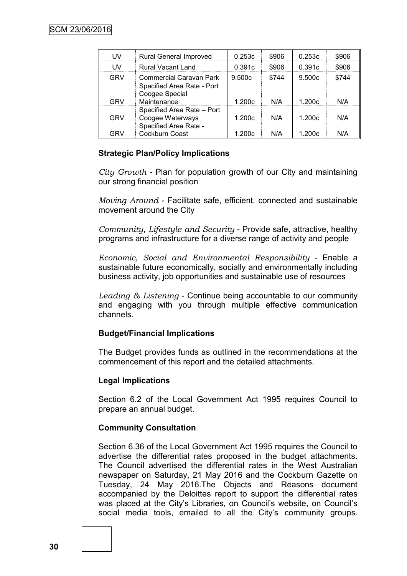| w    | <b>Rural General Improved</b>                               | 0.253c | \$906 | 0.253c | \$906 |
|------|-------------------------------------------------------------|--------|-------|--------|-------|
| l IV | <b>Rural Vacant Land</b>                                    | 0.391c | \$906 | 0.391c | \$906 |
| GRV  | <b>Commercial Caravan Park</b>                              | 9.500c | \$744 | 9.500c | \$744 |
| GRV  | Specified Area Rate - Port<br>Coogee Special<br>Maintenance | 1.200c | N/A   | 1.200c | N/A   |
| GRV. | Specified Area Rate - Port<br>Coogee Waterways              | 1.200c | N/A   | 1.200c | N/A   |
| GRV  | Specified Area Rate -<br>Cockburn Coast                     | 1.200c | N/A   | 1.200c | N/A   |

#### **Strategic Plan/Policy Implications**

*City Growth* - Plan for population growth of our City and maintaining our strong financial position

*Moving Around* - Facilitate safe, efficient, connected and sustainable movement around the City

*Community, Lifestyle and Security* - Provide safe, attractive, healthy programs and infrastructure for a diverse range of activity and people

*Economic, Social and Environmental Responsibility* - Enable a sustainable future economically, socially and environmentally including business activity, job opportunities and sustainable use of resources

*Leading & Listening* - Continue being accountable to our community and engaging with you through multiple effective communication channels.

#### **Budget/Financial Implications**

The Budget provides funds as outlined in the recommendations at the commencement of this report and the detailed attachments.

#### **Legal Implications**

Section 6.2 of the Local Government Act 1995 requires Council to prepare an annual budget.

#### **Community Consultation**

Section 6.36 of the Local Government Act 1995 requires the Council to advertise the differential rates proposed in the budget attachments. The Council advertised the differential rates in the West Australian newspaper on Saturday, 21 May 2016 and the Cockburn Gazette on Tuesday, 24 May 2016.The Objects and Reasons document accompanied by the Deloittes report to support the differential rates was placed at the City's Libraries, on Council's website, on Council's social media tools, emailed to all the City's community groups.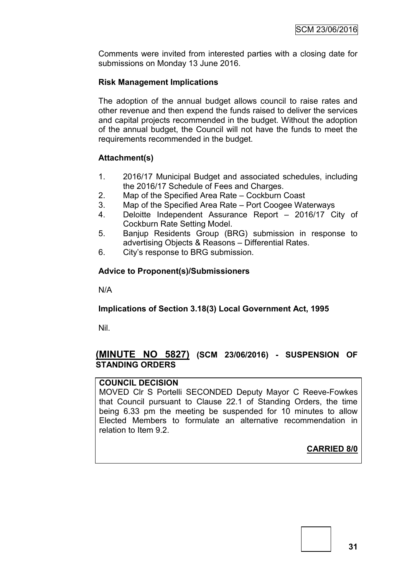Comments were invited from interested parties with a closing date for submissions on Monday 13 June 2016.

#### **Risk Management Implications**

The adoption of the annual budget allows council to raise rates and other revenue and then expend the funds raised to deliver the services and capital projects recommended in the budget. Without the adoption of the annual budget, the Council will not have the funds to meet the requirements recommended in the budget.

#### **Attachment(s)**

- 1. 2016/17 Municipal Budget and associated schedules, including the 2016/17 Schedule of Fees and Charges.
- 2. Map of the Specified Area Rate Cockburn Coast
- 3. Map of the Specified Area Rate Port Coogee Waterways
- 4. Deloitte Independent Assurance Report 2016/17 City of Cockburn Rate Setting Model.
- 5. Banjup Residents Group (BRG) submission in response to advertising Objects & Reasons – Differential Rates.
- 6. City's response to BRG submission.

#### **Advice to Proponent(s)/Submissioners**

N/A

#### **Implications of Section 3.18(3) Local Government Act, 1995**

Nil.

#### **(MINUTE NO 5827) (SCM 23/06/2016) - SUSPENSION OF STANDING ORDERS**

#### **COUNCIL DECISION**

MOVED Clr S Portelli SECONDED Deputy Mayor C Reeve-Fowkes that Council pursuant to Clause 22.1 of Standing Orders, the time being 6.33 pm the meeting be suspended for 10 minutes to allow Elected Members to formulate an alternative recommendation in relation to Item 9.2.

#### **CARRIED 8/0**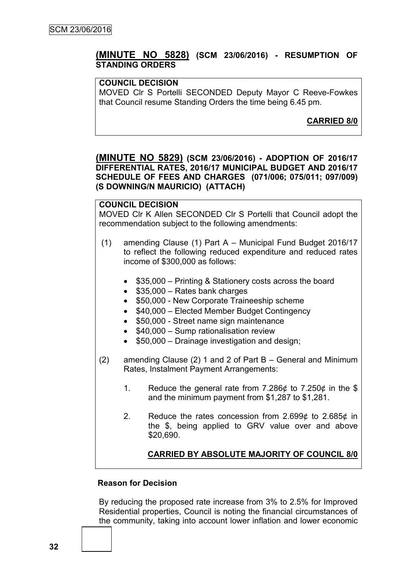#### **(MINUTE NO 5828) (SCM 23/06/2016) - RESUMPTION OF STANDING ORDERS**

#### **COUNCIL DECISION**

MOVED Clr S Portelli SECONDED Deputy Mayor C Reeve-Fowkes that Council resume Standing Orders the time being 6.45 pm.

**CARRIED 8/0**

#### **(MINUTE NO 5829) (SCM 23/06/2016) - ADOPTION OF 2016/17 DIFFERENTIAL RATES, 2016/17 MUNICIPAL BUDGET AND 2016/17 SCHEDULE OF FEES AND CHARGES (071/006; 075/011; 097/009) (S DOWNING/N MAURICIO) (ATTACH)**

#### **COUNCIL DECISION**

MOVED Clr K Allen SECONDED Clr S Portelli that Council adopt the recommendation subject to the following amendments:

- (1) amending Clause (1) Part A Municipal Fund Budget 2016/17 to reflect the following reduced expenditure and reduced rates income of \$300,000 as follows:
	- \$35,000 Printing & Stationery costs across the board
	- $\bullet$  \$35,000 Rates bank charges
	- \$50,000 New Corporate Traineeship scheme
	- \$40,000 Elected Member Budget Contingency
	- \$50,000 Street name sign maintenance
	- $\bullet$  \$40,000 Sump rationalisation review
	- \$50,000 Drainage investigation and design;
- (2) amending Clause (2) 1 and 2 of Part B General and Minimum Rates, Instalment Payment Arrangements:
	- 1. Reduce the general rate from 7.286 $\phi$  to 7.250 $\phi$  in the \$ and the minimum payment from \$1,287 to \$1,281.
	- 2. Reduce the rates concession from 2.699¢ to 2.685¢ in the \$, being applied to GRV value over and above \$20,690.

#### **CARRIED BY ABSOLUTE MAJORITY OF COUNCIL 8/0**

#### **Reason for Decision**

By reducing the proposed rate increase from 3% to 2.5% for Improved Residential properties, Council is noting the financial circumstances of the community, taking into account lower inflation and lower economic